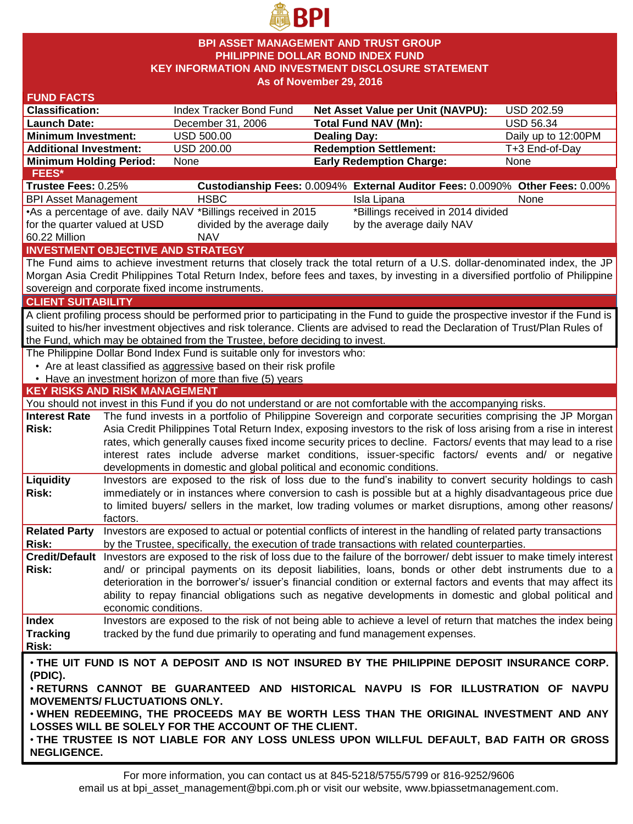

## **BPI ASSET MANAGEMENT AND TRUST GROUP PHILIPPINE DOLLAR BOND INDEX FUND KEY INFORMATION AND INVESTMENT DISCLOSURE STATEMENT As of November 29, 2016**

| <b>FUND FACTS</b>                                                                                   |                                                                                                                                  |                                                                              |                     |                                                                                                                                    |                     |  |  |  |  |
|-----------------------------------------------------------------------------------------------------|----------------------------------------------------------------------------------------------------------------------------------|------------------------------------------------------------------------------|---------------------|------------------------------------------------------------------------------------------------------------------------------------|---------------------|--|--|--|--|
| <b>Classification:</b>                                                                              |                                                                                                                                  | Index Tracker Bond Fund                                                      |                     | Net Asset Value per Unit (NAVPU):                                                                                                  | <b>USD 202.59</b>   |  |  |  |  |
| <b>Launch Date:</b>                                                                                 |                                                                                                                                  | December 31, 2006                                                            |                     | <b>Total Fund NAV (Mn):</b>                                                                                                        | <b>USD 56.34</b>    |  |  |  |  |
| <b>Minimum Investment:</b>                                                                          |                                                                                                                                  | <b>USD 500.00</b>                                                            | <b>Dealing Day:</b> |                                                                                                                                    | Daily up to 12:00PM |  |  |  |  |
| <b>Additional Investment:</b>                                                                       |                                                                                                                                  | USD 200.00                                                                   |                     | <b>Redemption Settlement:</b>                                                                                                      | T+3 End-of-Day      |  |  |  |  |
| <b>Minimum Holding Period:</b>                                                                      |                                                                                                                                  | None                                                                         |                     | <b>Early Redemption Charge:</b>                                                                                                    | None                |  |  |  |  |
| <b>FEES*</b>                                                                                        |                                                                                                                                  |                                                                              |                     |                                                                                                                                    |                     |  |  |  |  |
| Trustee Fees: 0.25%                                                                                 |                                                                                                                                  |                                                                              |                     | Custodianship Fees: 0.0094% External Auditor Fees: 0.0090% Other Fees: 0.00%                                                       |                     |  |  |  |  |
| <b>BPI Asset Management</b>                                                                         |                                                                                                                                  | <b>HSBC</b>                                                                  |                     | Isla Lipana                                                                                                                        | None                |  |  |  |  |
| •As a percentage of ave. daily NAV *Billings received in 2015<br>*Billings received in 2014 divided |                                                                                                                                  |                                                                              |                     |                                                                                                                                    |                     |  |  |  |  |
|                                                                                                     | for the quarter valued at USD<br>divided by the average daily<br>by the average daily NAV                                        |                                                                              |                     |                                                                                                                                    |                     |  |  |  |  |
| 60.22 Million                                                                                       |                                                                                                                                  | <b>NAV</b>                                                                   |                     |                                                                                                                                    |                     |  |  |  |  |
|                                                                                                     |                                                                                                                                  | <b>INVESTMENT OBJECTIVE AND STRATEGY</b>                                     |                     |                                                                                                                                    |                     |  |  |  |  |
|                                                                                                     |                                                                                                                                  |                                                                              |                     | The Fund aims to achieve investment returns that closely track the total return of a U.S. dollar-denominated index, the JP         |                     |  |  |  |  |
|                                                                                                     |                                                                                                                                  |                                                                              |                     | Morgan Asia Credit Philippines Total Return Index, before fees and taxes, by investing in a diversified portfolio of Philippine    |                     |  |  |  |  |
|                                                                                                     |                                                                                                                                  | sovereign and corporate fixed income instruments.                            |                     |                                                                                                                                    |                     |  |  |  |  |
| <b>CLIENT SUITABILITY</b>                                                                           |                                                                                                                                  |                                                                              |                     |                                                                                                                                    |                     |  |  |  |  |
|                                                                                                     |                                                                                                                                  |                                                                              |                     | A client profiling process should be performed prior to participating in the Fund to guide the prospective investor if the Fund is |                     |  |  |  |  |
|                                                                                                     |                                                                                                                                  |                                                                              |                     | suited to his/her investment objectives and risk tolerance. Clients are advised to read the Declaration of Trust/Plan Rules of     |                     |  |  |  |  |
|                                                                                                     |                                                                                                                                  | the Fund, which may be obtained from the Trustee, before deciding to invest. |                     |                                                                                                                                    |                     |  |  |  |  |
|                                                                                                     |                                                                                                                                  | The Philippine Dollar Bond Index Fund is suitable only for investors who:    |                     |                                                                                                                                    |                     |  |  |  |  |
|                                                                                                     |                                                                                                                                  | • Are at least classified as aggressive based on their risk profile          |                     |                                                                                                                                    |                     |  |  |  |  |
|                                                                                                     |                                                                                                                                  | • Have an investment horizon of more than five (5) years                     |                     |                                                                                                                                    |                     |  |  |  |  |
| <b>KEY RISKS AND RISK MANAGEMENT</b>                                                                |                                                                                                                                  |                                                                              |                     |                                                                                                                                    |                     |  |  |  |  |
|                                                                                                     |                                                                                                                                  |                                                                              |                     | You should not invest in this Fund if you do not understand or are not comfortable with the accompanying risks.                    |                     |  |  |  |  |
| <b>Interest Rate</b>                                                                                |                                                                                                                                  |                                                                              |                     | The fund invests in a portfolio of Philippine Sovereign and corporate securities comprising the JP Morgan                          |                     |  |  |  |  |
| Risk:                                                                                               | Asia Credit Philippines Total Return Index, exposing investors to the risk of loss arising from a rise in interest               |                                                                              |                     |                                                                                                                                    |                     |  |  |  |  |
|                                                                                                     | rates, which generally causes fixed income security prices to decline. Factors/ events that may lead to a rise                   |                                                                              |                     |                                                                                                                                    |                     |  |  |  |  |
|                                                                                                     | interest rates include adverse market conditions, issuer-specific factors/ events and/ or negative                               |                                                                              |                     |                                                                                                                                    |                     |  |  |  |  |
|                                                                                                     |                                                                                                                                  | developments in domestic and global political and economic conditions.       |                     |                                                                                                                                    |                     |  |  |  |  |
| Liquidity                                                                                           |                                                                                                                                  |                                                                              |                     | Investors are exposed to the risk of loss due to the fund's inability to convert security holdings to cash                         |                     |  |  |  |  |
| Risk:                                                                                               | immediately or in instances where conversion to cash is possible but at a highly disadvantageous price due                       |                                                                              |                     |                                                                                                                                    |                     |  |  |  |  |
|                                                                                                     |                                                                                                                                  |                                                                              |                     | to limited buyers/ sellers in the market, low trading volumes or market disruptions, among other reasons/                          |                     |  |  |  |  |
|                                                                                                     | factors.                                                                                                                         |                                                                              |                     |                                                                                                                                    |                     |  |  |  |  |
| <b>Related Party</b>                                                                                |                                                                                                                                  |                                                                              |                     | Investors are exposed to actual or potential conflicts of interest in the handling of related party transactions                   |                     |  |  |  |  |
| Risk:                                                                                               |                                                                                                                                  |                                                                              |                     | by the Trustee, specifically, the execution of trade transactions with related counterparties.                                     |                     |  |  |  |  |
|                                                                                                     | Credit/Default Investors are exposed to the risk of loss due to the failure of the borrower/ debt issuer to make timely interest |                                                                              |                     |                                                                                                                                    |                     |  |  |  |  |
| Risk:                                                                                               | and/ or principal payments on its deposit liabilities, loans, bonds or other debt instruments due to a                           |                                                                              |                     |                                                                                                                                    |                     |  |  |  |  |
|                                                                                                     | deterioration in the borrower's/ issuer's financial condition or external factors and events that may affect its                 |                                                                              |                     |                                                                                                                                    |                     |  |  |  |  |
|                                                                                                     |                                                                                                                                  |                                                                              |                     | ability to repay financial obligations such as negative developments in domestic and global political and                          |                     |  |  |  |  |
|                                                                                                     | economic conditions.                                                                                                             |                                                                              |                     |                                                                                                                                    |                     |  |  |  |  |
| <b>Index</b>                                                                                        |                                                                                                                                  |                                                                              |                     | Investors are exposed to the risk of not being able to achieve a level of return that matches the index being                      |                     |  |  |  |  |
| <b>Tracking</b>                                                                                     |                                                                                                                                  | tracked by the fund due primarily to operating and fund management expenses. |                     |                                                                                                                                    |                     |  |  |  |  |
| Risk:                                                                                               |                                                                                                                                  |                                                                              |                     |                                                                                                                                    |                     |  |  |  |  |
| . THE UIT FUND IS NOT A DEPOSIT AND IS NOT INSURED BY THE PHILIPPINE DEPOSIT INSURANCE CORP.        |                                                                                                                                  |                                                                              |                     |                                                                                                                                    |                     |  |  |  |  |
| (PDIC).                                                                                             |                                                                                                                                  |                                                                              |                     |                                                                                                                                    |                     |  |  |  |  |
| . RETURNS CANNOT BE GUARANTEED AND HISTORICAL NAVPU IS FOR ILLUSTRATION OF NAVPU                    |                                                                                                                                  |                                                                              |                     |                                                                                                                                    |                     |  |  |  |  |
| <b>MOVEMENTS/ FLUCTUATIONS ONLY.</b>                                                                |                                                                                                                                  |                                                                              |                     |                                                                                                                                    |                     |  |  |  |  |
|                                                                                                     |                                                                                                                                  |                                                                              |                     | . WHEN REDEEMING, THE PROCEEDS MAY BE WORTH LESS THAN THE ORIGINAL INVESTMENT AND ANY                                              |                     |  |  |  |  |
|                                                                                                     |                                                                                                                                  | LOSSES WILL BE SOLELY FOR THE ACCOUNT OF THE CLIENT.                         |                     |                                                                                                                                    |                     |  |  |  |  |
| . THE TRUSTEE IS NOT LIABLE FOR ANY LOSS UNLESS UPON WILLFUL DEFAULT, BAD FAITH OR GROSS            |                                                                                                                                  |                                                                              |                     |                                                                                                                                    |                     |  |  |  |  |
| <b>NEGLIGENCE.</b>                                                                                  |                                                                                                                                  |                                                                              |                     |                                                                                                                                    |                     |  |  |  |  |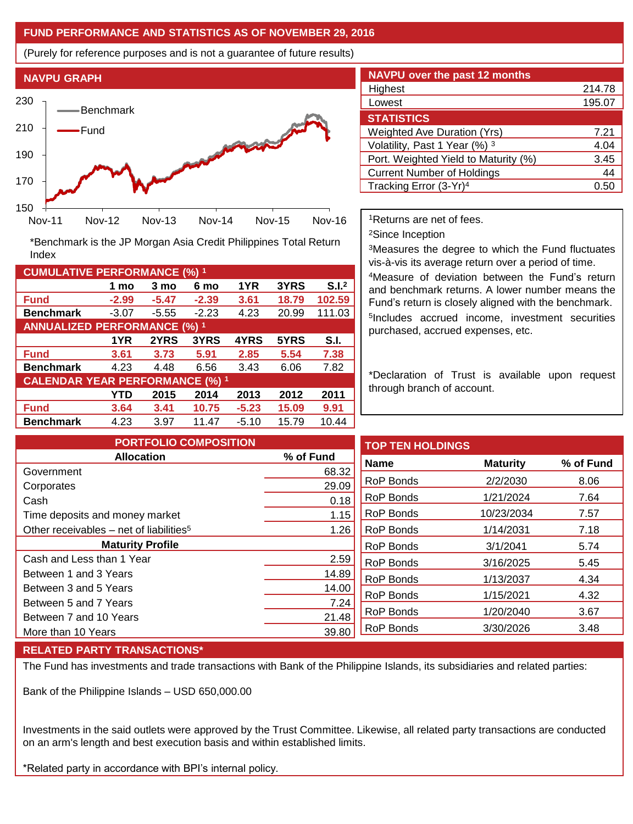# **FUND PERFORMANCE AND STATISTICS AS OF NOVEMBER 29, 2016**

(Purely for reference purposes and is not a guarantee of future results)



**Fund -2.99 -5.47 -2.39 3.61 18.79 102.59 Benchmark** -3.07 -5.55 -2.23 4.23 20.99 111.03

\*Benchmark is the JP Morgan Asia Credit Philippines Total Return

**Fund 3.61 3.73 5.91 2.85 5.54 7.38 Benchmark** 4.23 4.48 6.56 3.43 6.06 7.82

**Fund 3.64 3.41 10.75 -5.23 15.09 9.91 Benchmark** 4.23 3.97 11.47 -5.10 15.79 10.44

**1 mo 3 mo 6 mo 1YR 3YRS S.I.<sup>2</sup>**

**1YR 2YRS 3YRS 4YRS 5YRS S.I.**

**YTD 2015 2014 2013 2012 2011**

| <b>NAVPU over the past 12 months</b> |        |  |  |  |  |  |
|--------------------------------------|--------|--|--|--|--|--|
| Highest                              | 214.78 |  |  |  |  |  |
| Lowest                               | 195.07 |  |  |  |  |  |
| <b>STATISTICS</b>                    |        |  |  |  |  |  |
| <b>Weighted Ave Duration (Yrs)</b>   | 7.21   |  |  |  |  |  |
| Volatility, Past 1 Year (%) 3        | 4.04   |  |  |  |  |  |
| Port. Weighted Yield to Maturity (%) | 3.45   |  |  |  |  |  |
| <b>Current Number of Holdings</b>    | 44     |  |  |  |  |  |
| Tracking Error (3-Yr) <sup>4</sup>   | 0.51   |  |  |  |  |  |

<sup>1</sup>Returns are net of fees.

<sup>2</sup>Since Inception

<sup>3</sup>Measures the degree to which the Fund fluctuates vis-à-vis its average return over a period of time.

<sup>4</sup>Measure of deviation between the Fund's return and benchmark returns. A lower number means the Fund's return is closely aligned with the benchmark. 5 Includes accrued income, investment securities purchased, accrued expenses, etc.

\*Declaration of Trust is available upon request through branch of account.

| <b>PORTFOLIO COMPOSITION</b>                          |           | <b>TOP TEN HOLDINGS</b> |                 |           |
|-------------------------------------------------------|-----------|-------------------------|-----------------|-----------|
| <b>Allocation</b>                                     | % of Fund | <b>Name</b>             | <b>Maturity</b> | % of Fund |
| Government                                            | 68.32     |                         |                 |           |
| Corporates                                            | 29.09     | RoP Bonds               | 2/2/2030        | 8.06      |
| Cash                                                  | 0.18      | RoP Bonds               | 1/21/2024       | 7.64      |
| Time deposits and money market                        | 1.15      | <b>RoP Bonds</b>        | 10/23/2034      | 7.57      |
| Other receivables $-$ net of liabilities <sup>5</sup> | 1.26      | <b>RoP Bonds</b>        | 1/14/2031       | 7.18      |
| <b>Maturity Profile</b>                               |           | RoP Bonds               | 3/1/2041        | 5.74      |
| Cash and Less than 1 Year                             | 2.59      | RoP Bonds               | 3/16/2025       | 5.45      |
| Between 1 and 3 Years                                 | 14.89     | RoP Bonds               | 1/13/2037       | 4.34      |
| Between 3 and 5 Years                                 | 14.00     | RoP Bonds               |                 |           |
| Between 5 and 7 Years                                 | 7.24      |                         | 1/15/2021       | 4.32      |
| Between 7 and 10 Years                                | 21.48     | <b>RoP Bonds</b>        | 1/20/2040       | 3.67      |
| More than 10 Years                                    | 39.80     | RoP Bonds               | 3/30/2026       | 3.48      |

## **RELATED PARTY TRANSACTIONS\***

**CUMULATIVE PERFORMANCE (%) <sup>1</sup>**

Index

**ANNUALIZED PERFORMANCE (%) <sup>1</sup>**

**CALENDAR YEAR PERFORMANCE (%) <sup>1</sup>**

The Fund has investments and trade transactions with Bank of the Philippine Islands, its subsidiaries and related parties:

Bank of the Philippine Islands – USD 650,000.00

Investments in the said outlets were approved by the Trust Committee. Likewise, all related party transactions are conducted on an arm's length and best execution basis and within established limits.

\*Related party in accordance with BPI's internal policy.